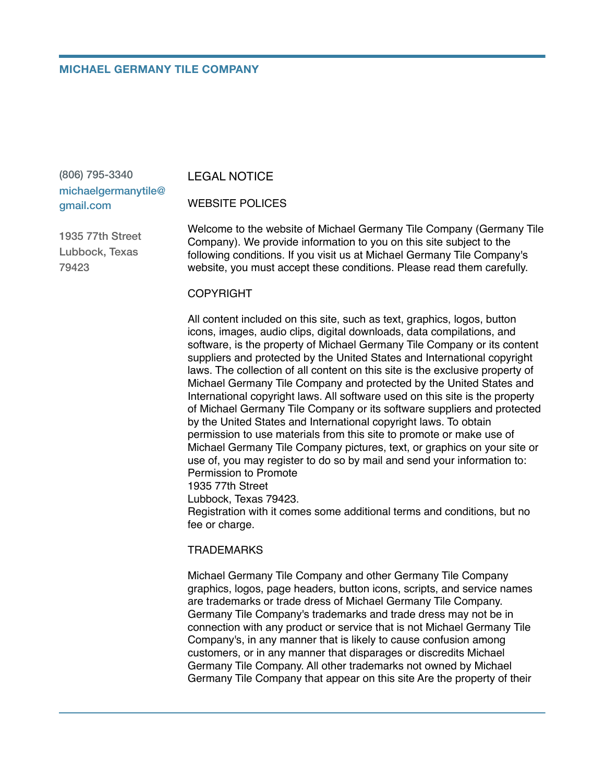### **MICHAEL GERMANY TILE COMPANY**

(806) 795-3340 michaelgermanytile@ gmail.com

LEGAL NOTICE

WEBSITE POLICES

1935 77th Street Lubbock, Texas 79423

Welcome to the website of Michael Germany Tile Company (Germany Tile Company). We provide information to you on this site subject to the following conditions. If you visit us at Michael Germany Tile Company's website, you must accept these conditions. Please read them carefully.

### **COPYRIGHT**

All content included on this site, such as text, graphics, logos, button icons, images, audio clips, digital downloads, data compilations, and software, is the property of Michael Germany Tile Company or its content suppliers and protected by the United States and International copyright laws. The collection of all content on this site is the exclusive property of Michael Germany Tile Company and protected by the United States and International copyright laws. All software used on this site is the property of Michael Germany Tile Company or its software suppliers and protected by the United States and International copyright laws. To obtain permission to use materials from this site to promote or make use of Michael Germany Tile Company pictures, text, or graphics on your site or use of, you may register to do so by mail and send your information to: Permission to Promote 1935 77th Street

Lubbock, Texas 79423.

Registration with it comes some additional terms and conditions, but no fee or charge.

#### **TRADEMARKS**

Michael Germany Tile Company and other Germany Tile Company graphics, logos, page headers, button icons, scripts, and service names are trademarks or trade dress of Michael Germany Tile Company. Germany Tile Company's trademarks and trade dress may not be in connection with any product or service that is not Michael Germany Tile Company's, in any manner that is likely to cause confusion among customers, or in any manner that disparages or discredits Michael Germany Tile Company. All other trademarks not owned by Michael Germany Tile Company that appear on this site Are the property of their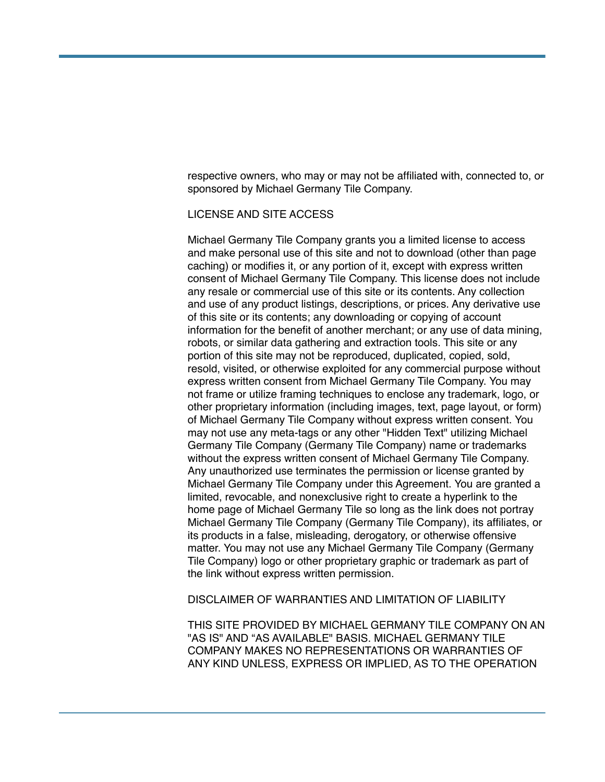respective owners, who may or may not be affiliated with, connected to, or sponsored by Michael Germany Tile Company.

# LICENSE AND SITE ACCESS

Michael Germany Tile Company grants you a limited license to access and make personal use of this site and not to download (other than page caching) or modifies it, or any portion of it, except with express written consent of Michael Germany Tile Company. This license does not include any resale or commercial use of this site or its contents. Any collection and use of any product listings, descriptions, or prices. Any derivative use of this site or its contents; any downloading or copying of account information for the benefit of another merchant; or any use of data mining, robots, or similar data gathering and extraction tools. This site or any portion of this site may not be reproduced, duplicated, copied, sold, resold, visited, or otherwise exploited for any commercial purpose without express written consent from Michael Germany Tile Company. You may not frame or utilize framing techniques to enclose any trademark, logo, or other proprietary information (including images, text, page layout, or form) of Michael Germany Tile Company without express written consent. You may not use any meta-tags or any other "Hidden Text" utilizing Michael Germany Tile Company (Germany Tile Company) name or trademarks without the express written consent of Michael Germany Tile Company. Any unauthorized use terminates the permission or license granted by Michael Germany Tile Company under this Agreement. You are granted a limited, revocable, and nonexclusive right to create a hyperlink to the home page of Michael Germany Tile so long as the link does not portray Michael Germany Tile Company (Germany Tile Company), its affiliates, or its products in a false, misleading, derogatory, or otherwise offensive matter. You may not use any Michael Germany Tile Company (Germany Tile Company) logo or other proprietary graphic or trademark as part of the link without express written permission.

DISCLAIMER OF WARRANTIES AND LIMITATION OF LIABILITY

THIS SITE PROVIDED BY MICHAEL GERMANY TILE COMPANY ON AN "AS IS" AND "AS AVAILABLE" BASIS. MICHAEL GERMANY TILE COMPANY MAKES NO REPRESENTATIONS OR WARRANTIES OF ANY KIND UNLESS, EXPRESS OR IMPLIED, AS TO THE OPERATION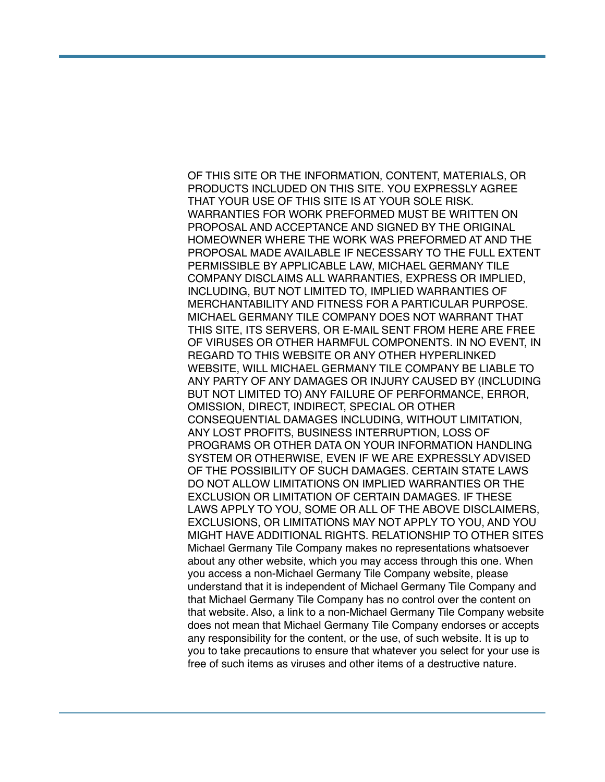OF THIS SITE OR THE INFORMATION, CONTENT, MATERIALS, OR PRODUCTS INCLUDED ON THIS SITE. YOU EXPRESSLY AGREE THAT YOUR USE OF THIS SITE IS AT YOUR SOLE RISK. WARRANTIES FOR WORK PREFORMED MUST BE WRITTEN ON PROPOSAL AND ACCEPTANCE AND SIGNED BY THE ORIGINAL HOMEOWNER WHERE THE WORK WAS PREFORMED AT AND THE PROPOSAL MADE AVAILABLE IF NECESSARY TO THE FULL EXTENT PERMISSIBLE BY APPLICABLE LAW, MICHAEL GERMANY TILE COMPANY DISCLAIMS ALL WARRANTIES, EXPRESS OR IMPLIED, INCLUDING, BUT NOT LIMITED TO, IMPLIED WARRANTIES OF MERCHANTABILITY AND FITNESS FOR A PARTICULAR PURPOSE. MICHAEL GERMANY TILE COMPANY DOES NOT WARRANT THAT THIS SITE, ITS SERVERS, OR E-MAIL SENT FROM HERE ARE FREE OF VIRUSES OR OTHER HARMFUL COMPONENTS. IN NO EVENT, IN REGARD TO THIS WEBSITE OR ANY OTHER HYPERLINKED WEBSITE, WILL MICHAEL GERMANY TILE COMPANY BE LIABLE TO ANY PARTY OF ANY DAMAGES OR INJURY CAUSED BY (INCLUDING BUT NOT LIMITED TO) ANY FAILURE OF PERFORMANCE, ERROR, OMISSION, DIRECT, INDIRECT, SPECIAL OR OTHER CONSEQUENTIAL DAMAGES INCLUDING, WITHOUT LIMITATION, ANY LOST PROFITS, BUSINESS INTERRUPTION, LOSS OF PROGRAMS OR OTHER DATA ON YOUR INFORMATION HANDLING SYSTEM OR OTHERWISE, EVEN IF WE ARE EXPRESSLY ADVISED OF THE POSSIBILITY OF SUCH DAMAGES. CERTAIN STATE LAWS DO NOT ALLOW LIMITATIONS ON IMPLIED WARRANTIES OR THE EXCLUSION OR LIMITATION OF CERTAIN DAMAGES. IF THESE LAWS APPLY TO YOU, SOME OR ALL OF THE ABOVE DISCLAIMERS, EXCLUSIONS, OR LIMITATIONS MAY NOT APPLY TO YOU, AND YOU MIGHT HAVE ADDITIONAL RIGHTS. RELATIONSHIP TO OTHER SITES Michael Germany Tile Company makes no representations whatsoever about any other website, which you may access through this one. When you access a non-Michael Germany Tile Company website, please understand that it is independent of Michael Germany Tile Company and that Michael Germany Tile Company has no control over the content on that website. Also, a link to a non-Michael Germany Tile Company website does not mean that Michael Germany Tile Company endorses or accepts any responsibility for the content, or the use, of such website. It is up to you to take precautions to ensure that whatever you select for your use is free of such items as viruses and other items of a destructive nature.